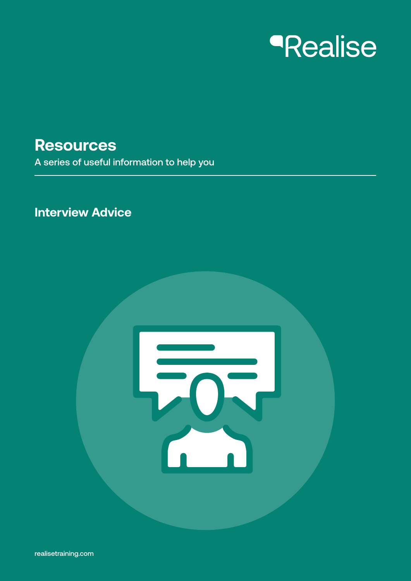# *<u>Realise</u>*

## **Resources**

A series of useful information to help you

### **Interview Advice**

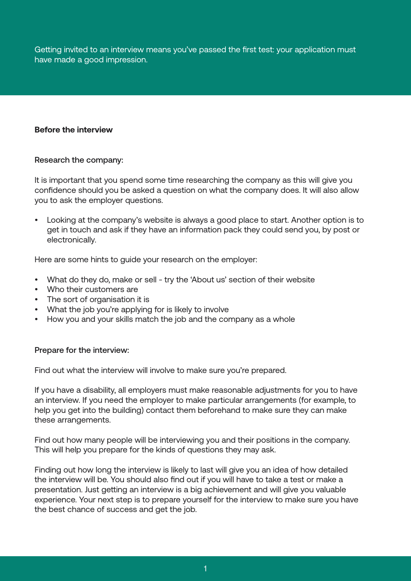Getting invited to an interview means you've passed the first test: your application must have made a good impression.

#### **Before the interview**

#### Research the company:

It is important that you spend some time researching the company as this will give you confidence should you be asked a question on what the company does. It will also allow you to ask the employer questions.

• Looking at the company's website is always a good place to start. Another option is to get in touch and ask if they have an information pack they could send you, by post or electronically.

Here are some hints to guide your research on the employer:

- What do they do, make or sell try the 'About us' section of their website
- Who their customers are
- The sort of organisation it is
- What the job you're applying for is likely to involve
- How you and your skills match the job and the company as a whole

#### Prepare for the interview:

Find out what the interview will involve to make sure you're prepared.

If you have a disability, all employers must make reasonable adjustments for you to have an interview. If you need the employer to make particular arrangements (for example, to help you get into the building) contact them beforehand to make sure they can make these arrangements.

Find out how many people will be interviewing you and their positions in the company. This will help you prepare for the kinds of questions they may ask.

Finding out how long the interview is likely to last will give you an idea of how detailed the interview will be. You should also find out if you will have to take a test or make a presentation. Just getting an interview is a big achievement and will give you valuable experience. Your next step is to prepare yourself for the interview to make sure you have the best chance of success and get the job.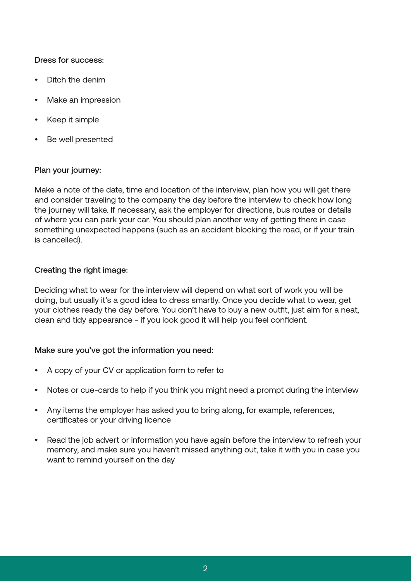#### Dress for success:

- Ditch the denim
- Make an impression
- Keep it simple
- Be well presented

#### Plan your journey:

Make a note of the date, time and location of the interview, plan how you will get there and consider traveling to the company the day before the interview to check how long the journey will take. If necessary, ask the employer for directions, bus routes or details of where you can park your car. You should plan another way of getting there in case something unexpected happens (such as an accident blocking the road, or if your train is cancelled).

#### Creating the right image:

Deciding what to wear for the interview will depend on what sort of work you will be doing, but usually it's a good idea to dress smartly. Once you decide what to wear, get your clothes ready the day before. You don't have to buy a new outfit, just aim for a neat, clean and tidy appearance - if you look good it will help you feel confident.

#### Make sure you've got the information you need:

- A copy of your CV or application form to refer to
- Notes or cue-cards to help if you think you might need a prompt during the interview
- Any items the employer has asked you to bring along, for example, references, certificates or your driving licence
- Read the job advert or information you have again before the interview to refresh your memory, and make sure you haven't missed anything out, take it with you in case you want to remind yourself on the day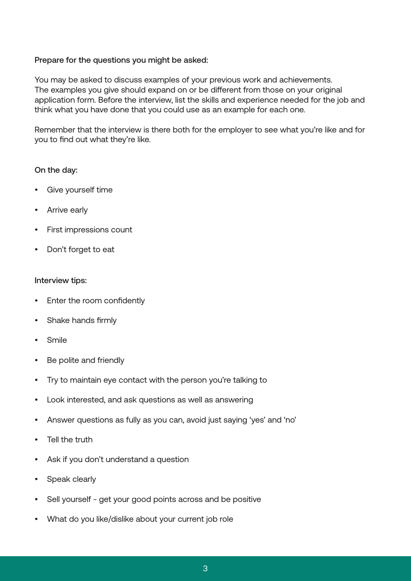#### Prepare for the questions you might be asked:

You may be asked to discuss examples of your previous work and achievements. The examples you give should expand on or be different from those on your original application form. Before the interview, list the skills and experience needed for the job and think what you have done that you could use as an example for each one.

Remember that the interview is there both for the employer to see what you're like and for you to find out what they're like.

#### On the day:

- Give yourself time
- Arrive early
- First impressions count
- Don't forget to eat

#### Interview tips:

- Enter the room confidently
- Shake hands firmly
- Smile
- Be polite and friendly
- Try to maintain eye contact with the person you're talking to
- Look interested, and ask questions as well as answering
- Answer questions as fully as you can, avoid just saying 'yes' and 'no'
- Tell the truth
- Ask if you don't understand a question
- Speak clearly
- Sell yourself get your good points across and be positive
- What do you like/dislike about your current job role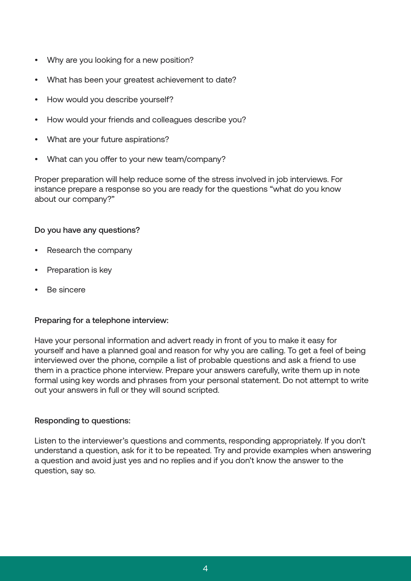- Why are you looking for a new position?
- What has been your greatest achievement to date?
- How would you describe yourself?
- How would your friends and colleagues describe you?
- What are your future aspirations?
- What can you offer to your new team/company?

Proper preparation will help reduce some of the stress involved in job interviews. For instance prepare a response so you are ready for the questions "what do you know about our company?"

#### Do you have any questions?

- Research the company
- Preparation is key
- Be sincere

#### Preparing for a telephone interview:

Have your personal information and advert ready in front of you to make it easy for yourself and have a planned goal and reason for why you are calling. To get a feel of being interviewed over the phone, compile a list of probable questions and ask a friend to use them in a practice phone interview. Prepare your answers carefully, write them up in note formal using key words and phrases from your personal statement. Do not attempt to write out your answers in full or they will sound scripted.

#### Responding to questions:

Listen to the interviewer's questions and comments, responding appropriately. If you don't understand a question, ask for it to be repeated. Try and provide examples when answering a question and avoid just yes and no replies and if you don't know the answer to the question, say so.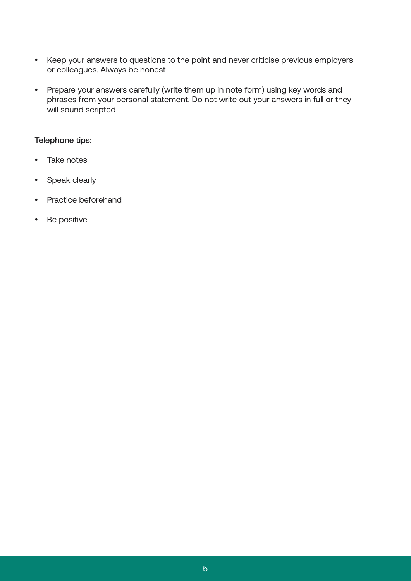- Keep your answers to questions to the point and never criticise previous employers or colleagues. Always be honest
- Prepare your answers carefully (write them up in note form) using key words and phrases from your personal statement. Do not write out your answers in full or they will sound scripted

#### Telephone tips:

- Take notes
- Speak clearly
- Practice beforehand
- Be positive